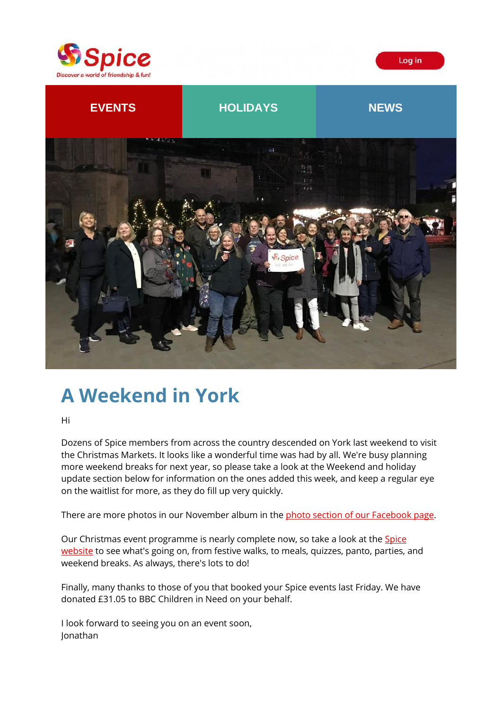





# **A Weekend in York**

Hi

Dozens of Spice members from across the country descended on York last weekend to visit the Christmas Markets. It looks like a wonderful time was had by all. We're busy planning more weekend breaks for next year, so please take a look at the Weekend and holiday update section below for information on the ones added this week, and keep a regular eye on the waitlist for more, as they do fill up very quickly.

There are more photos in our November album in the [photo section of our Facebook page.](https://spiceuk.lt.acemlna.com/Prod/link-tracker?redirectUrl=aHR0cHMlM0ElMkYlMkZ3d3cuZmFjZWJvb2suY29tJTJGU3BpY2VZb3Jrc2hpcmUlMkZwaG90b3M=&sig=FtKc8QjJur2b8hQfsvJMeHXLKZUyk6pM7gEnM5Tp8qXt&iat=1637866586&a=%7C%7C650344965%7C%7C&account=spiceuk%2Eactivehosted%2Ecom&email=1lNuJE%2BrfgC%2F8jRYTdcwIV8mo4ad0FCroTtAVDq%2FbzQ%3D&s=b900027c55ea3ffe9431fd4817f89468&i=228A240A4A5543)

Our Christmas event programme is nearly complete now, so take a look at the Spice [website](https://spiceuk.lt.acemlna.com/Prod/link-tracker?redirectUrl=aHR0cHMlM0ElMkYlMkZ3d3cuc3BpY2V1ay5jb20lMkZldmVudHMtaG9saWRheXMlM0ZtYXN0ZXJDYXRlZ29yeSUzREFsbCUyNmNhdGVnb3J5JTNEQWxsJTI2b3duZXIlM0RBbGw=&sig=798qjnfvMvybdE3NkFD72w7UDFUZCEkW3abw7VNAUmCF&iat=1637866586&a=%7C%7C650344965%7C%7C&account=spiceuk%2Eactivehosted%2Ecom&email=1lNuJE%2BrfgC%2F8jRYTdcwIV8mo4ad0FCroTtAVDq%2FbzQ%3D&s=b900027c55ea3ffe9431fd4817f89468&i=228A240A4A5540) to see what's going on, from festive walks, to meals, quizzes, panto, parties, and weekend breaks. As always, there's lots to do!

Finally, many thanks to those of you that booked your Spice events last Friday. We have donated £31.05 to BBC Children in Need on your behalf.

I look forward to seeing you on an event soon, Jonathan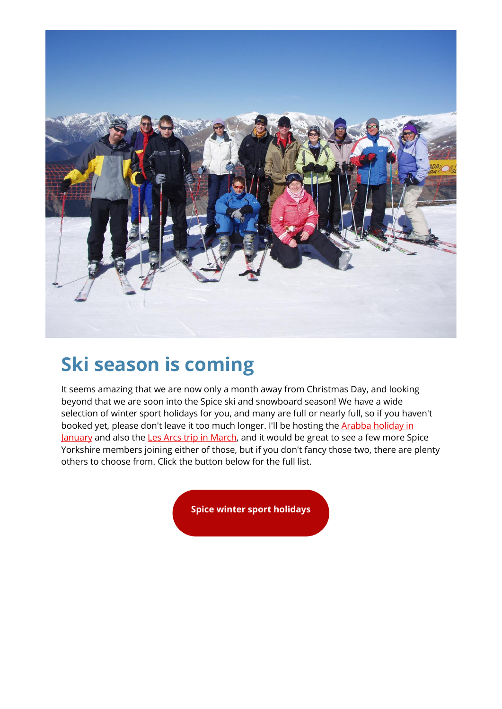

# **Ski season is coming**

It seems amazing that we are now only a month away from Christmas Day, and looking beyond that we are soon into the Spice ski and snowboard season! We have a wide selection of winter sport holidays for you, and many are full or nearly full, so if you haven't booked yet, please don't leave it too much longer. I'll be hosting the Arabba holiday in [January](https://spiceuk.lt.acemlna.com/Prod/link-tracker?redirectUrl=aHR0cHMlM0ElMkYlMkZ3d3cuc3BpY2V1ay5jb20lMkZldmVudHMtaG9saWRheXMlMkZza2ktYXJhYmJhLXdpdGgtc3BpY2UtdGhhbWVzLXZhbGxleS1zb2xlbnQ=&sig=8Gakiz3e4Cgo3DFghef7XkPqEhFqH4gz4uTwS7NawjQS&iat=1637866586&a=%7C%7C650344965%7C%7C&account=spiceuk%2Eactivehosted%2Ecom&email=1lNuJE%2BrfgC%2F8jRYTdcwIV8mo4ad0FCroTtAVDq%2FbzQ%3D&s=b900027c55ea3ffe9431fd4817f89468&i=228A240A4A5597) and also the [Les Arcs trip in March,](https://spiceuk.lt.acemlna.com/Prod/link-tracker?redirectUrl=aHR0cHMlM0ElMkYlMkZ3d3cuc3BpY2V1ay5jb20lMkZldmVudHMtaG9saWRheXMlMkZza2ktbGVzLWFyY3Mtd2l0aC1zcGljZS15b3Jrc2hpcmU=&sig=BkRqrVLyxUNg7fcANiNyhWa7jzes2Cp8aNfVexm2SxkT&iat=1637866586&a=%7C%7C650344965%7C%7C&account=spiceuk%2Eactivehosted%2Ecom&email=1lNuJE%2BrfgC%2F8jRYTdcwIV8mo4ad0FCroTtAVDq%2FbzQ%3D&s=b900027c55ea3ffe9431fd4817f89468&i=228A240A4A5549) and it would be great to see a few more Spice Yorkshire members joining either of those, but if you don't fancy those two, there are plenty others to choose from. Click the button below for the full list.

**[Spice winter sport holidays](https://spiceuk.lt.acemlna.com/Prod/link-tracker?redirectUrl=aHR0cHMlM0ElMkYlMkZ3d3cuc3BpY2V1ay5jb20lMkZldmVudHMtaG9saWRheXMlM0ZtYXN0ZXJDYXRlZ29yeSUzRFdpbnRlciUyNTIwU3BvcnQlMjZvd25lciUzRFNwaWNlJTI1MjBFc2NhcGVz&sig=BXog4KetvXC97UEZNuMjB2LAsuVc3MRht7r2u3WsfCjX&iat=1637866586&a=%7C%7C650344965%7C%7C&account=spiceuk%2Eactivehosted%2Ecom&email=1lNuJE%2BrfgC%2F8jRYTdcwIV8mo4ad0FCroTtAVDq%2FbzQ%3D&s=b900027c55ea3ffe9431fd4817f89468&i=228A240A4A5596)**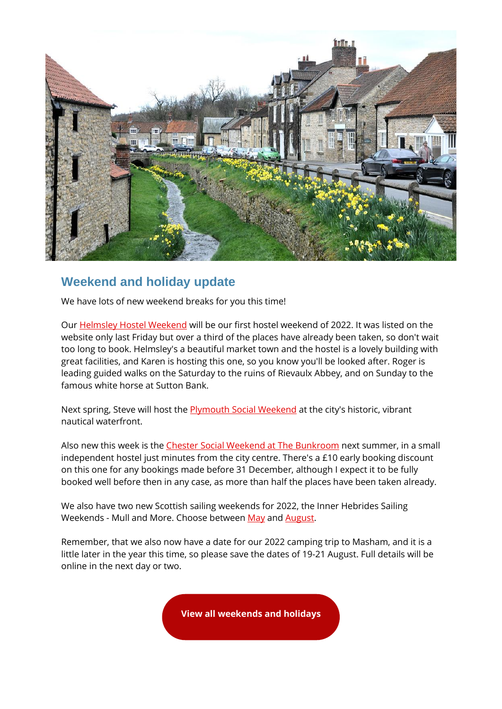

#### **Weekend and holiday update**

We have lots of new weekend breaks for you this time!

Our [Helmsley Hostel Weekend](https://spiceuk.lt.acemlna.com/Prod/link-tracker?redirectUrl=aHR0cHMlM0ElMkYlMkZ3d3cuc3BpY2V1ay5jb20lMkZldmVudHMtaG9saWRheXMlMkZoZWxtc2xleS1ub3J0aC15b3Jrc2hpcmUtaG9zdGVsLXdlZWtlbmQ=&sig=4VsiERnzjiEc3H2aUk8k52zrnx9KAAQnyn59WVo5CXcf&iat=1637866586&a=%7C%7C650344965%7C%7C&account=spiceuk%2Eactivehosted%2Ecom&email=1lNuJE%2BrfgC%2F8jRYTdcwIV8mo4ad0FCroTtAVDq%2FbzQ%3D&s=b900027c55ea3ffe9431fd4817f89468&i=228A240A4A5598) will be our first hostel weekend of 2022. It was listed on the website only last Friday but over a third of the places have already been taken, so don't wait too long to book. Helmsley's a beautiful market town and the hostel is a lovely building with great facilities, and Karen is hosting this one, so you know you'll be looked after. Roger is leading guided walks on the Saturday to the ruins of Rievaulx Abbey, and on Sunday to the famous white horse at Sutton Bank.

Next spring, Steve will host the **Plymouth Social Weekend** at the city's historic, vibrant nautical waterfront.

Also new this week is the [Chester Social Weekend at The Bunkroom](https://spiceuk.lt.acemlna.com/Prod/link-tracker?redirectUrl=aHR0cHMlM0ElMkYlMkZ3d3cuc3BpY2V1ay5jb20lMkZldmVudHMtaG9saWRheXMlMkZjaGVzdGVyLXNvY2lhbC13ZWVrZW5kLWF0LXRoZS1idW5rcm9vbQ==&sig=9vcZXiWDmtRKccuNza9ef34TdzWNVzTH8m2QW3EFx8vr&iat=1637866586&a=%7C%7C650344965%7C%7C&account=spiceuk%2Eactivehosted%2Ecom&email=1lNuJE%2BrfgC%2F8jRYTdcwIV8mo4ad0FCroTtAVDq%2FbzQ%3D&s=b900027c55ea3ffe9431fd4817f89468&i=228A240A4A5600) next summer, in a small independent hostel just minutes from the city centre. There's a £10 early booking discount on this one for any bookings made before 31 December, although I expect it to be fully booked well before then in any case, as more than half the places have been taken already.

We also have two new Scottish sailing weekends for 2022, the Inner Hebrides Sailing Weekends - Mull and More. Choose betwee[n May](https://spiceuk.lt.acemlna.com/Prod/link-tracker?redirectUrl=aHR0cHMlM0ElMkYlMkZ3d3cuc3BpY2V1ay5jb20lMkZldmVudHMtaG9saWRheXMlMkZpbm5lci1oZWJyaWRlcy1tYXktYmFuay1ob2xpZGF5LXNhaWxpbmctd2Vla2VuZC1tdWxsLWFuZC1tb3Jl&sig=2xTqgrD9rtQF8psEA7zQaZEL1BTduibZSQhpqk8ScqP7&iat=1637866586&a=%7C%7C650344965%7C%7C&account=spiceuk%2Eactivehosted%2Ecom&email=1lNuJE%2BrfgC%2F8jRYTdcwIV8mo4ad0FCroTtAVDq%2FbzQ%3D&s=b900027c55ea3ffe9431fd4817f89468&i=228A240A4A5601) and [August.](https://spiceuk.lt.acemlna.com/Prod/link-tracker?redirectUrl=aHR0cHMlM0ElMkYlMkZ3d3cuc3BpY2V1ay5jb20lMkZldmVudHMtaG9saWRheXMlMkZpbm5lci1oZWJyaWRlcy1hdWd1c3QtYmFuay1ob2xpZGF5LXNhaWxpbmctd2Vla2VuZC1tdWxsLWFuZC1tb3Jl&sig=6Fg2MsqFXcNDmFbHYs6zgpZgSYrUHTuCw3y9fmRaN7S9&iat=1637866586&a=%7C%7C650344965%7C%7C&account=spiceuk%2Eactivehosted%2Ecom&email=1lNuJE%2BrfgC%2F8jRYTdcwIV8mo4ad0FCroTtAVDq%2FbzQ%3D&s=b900027c55ea3ffe9431fd4817f89468&i=228A240A4A5602)

Remember, that we also now have a date for our 2022 camping trip to Masham, and it is a little later in the year this time, so please save the dates of 19-21 August. Full details will be online in the next day or two.

**[View all weekends and holidays](https://spiceuk.lt.acemlna.com/Prod/link-tracker?redirectUrl=aHR0cHMlM0ElMkYlMkZ3d3cuc3BpY2V1ay5jb20lMkZldmVudHMtaG9saWRheXMlM0Zvd25lciUzREFsbCUyNm1hc3RlckNhdGVnb3J5JTNESG9saWRheXMlMjZtYXN0ZXJDYXRlZ29yeSUzRFdlZWtlbmRzJTI1MjBBd2F5&sig=LHxKHwEk6EZ46113njeRj8XMwvYtjeZp4s5NcCUk4dt&iat=1637866586&a=%7C%7C650344965%7C%7C&account=spiceuk%2Eactivehosted%2Ecom&email=1lNuJE%2BrfgC%2F8jRYTdcwIV8mo4ad0FCroTtAVDq%2FbzQ%3D&s=b900027c55ea3ffe9431fd4817f89468&i=228A240A4A5547)**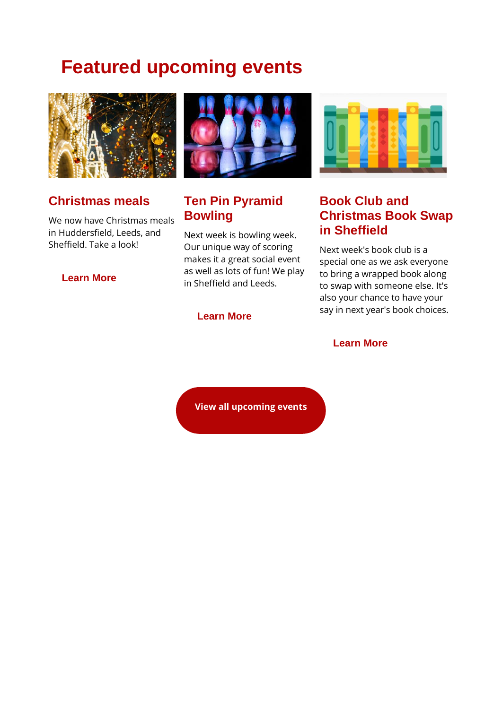# **Featured upcoming events**



#### **Christmas meals**

We now have Christmas meals in Huddersfield, Leeds, and Sheffield. Take a look!

#### **[Learn More](https://spiceuk.lt.acemlna.com/Prod/link-tracker?redirectUrl=aHR0cHMlM0ElMkYlMkZ3d3cuc3BpY2V1ay5jb20lMkZldmVudHMtaG9saWRheXMlM0Zvd25lciUzRFNwaWNlJTI1MjBZb3Jrc2hpcmUlMjZtYXN0ZXJDYXRlZ29yeSUzRENocmlzdG1hcyUyNTIwYW5kJTI1MjBOZXclMjUyMFllYXIlMjZzZWFyY2glM0RtZWFs&sig=3fcMXHnEQ1vBKE9q2Lc9dQgkS9sA16Lqcay4Zx6WaZD7&iat=1637866586&a=%7C%7C650344965%7C%7C&account=spiceuk%2Eactivehosted%2Ecom&email=1lNuJE%2BrfgC%2F8jRYTdcwIV8mo4ad0FCroTtAVDq%2FbzQ%3D&s=b900027c55ea3ffe9431fd4817f89468&i=228A240A4A5551)**



### **Ten Pin Pyramid Bowling**

Next week is bowling week. Our unique way of scoring makes it a great social event as well as lots of fun! We play in Sheffield and Leeds.

#### **[Learn More](https://spiceuk.lt.acemlna.com/Prod/link-tracker?redirectUrl=aHR0cHMlM0ElMkYlMkZ3d3cuc3BpY2V1ay5jb20lMkZldmVudHMtaG9saWRheXMlM0Zvd25lciUzRFNwaWNlJTI1MjBZb3Jrc2hpcmUlMjZtYXN0ZXJDYXRlZ29yeSUzREFsbCUyNnNlYXJjaCUzRGJvd2xpbmc=&sig=7FyXs1aECGaCGcnP2WX2uGLnL9Dd1HrwzrM4RKZqY2A3&iat=1637866586&a=%7C%7C650344965%7C%7C&account=spiceuk%2Eactivehosted%2Ecom&email=1lNuJE%2BrfgC%2F8jRYTdcwIV8mo4ad0FCroTtAVDq%2FbzQ%3D&s=b900027c55ea3ffe9431fd4817f89468&i=228A240A4A5603)**



#### **Book Club and Christmas Book Swap in Sheffield**

Next week's book club is a special one as we ask everyone to bring a wrapped book along to swap with someone else. It's also your chance to have your say in next year's book choices.

#### **[Learn More](https://spiceuk.lt.acemlna.com/Prod/link-tracker?redirectUrl=aHR0cHMlM0ElMkYlMkZ3d3cuc3BpY2V1ay5jb20lMkZldmVudHMtaG9saWRheXMlMkZib29rLWNsdWItYW5kLWNocmlzdG1hcy1ib29rLXN3YXAtaW4tc2hlZmZpZWxkLTAyLWRlYy0yMQ==&sig=AciRNrHTv7G93i7MdMT6kdtmtN4gZpPVbcxa1JgqP4ks&iat=1637866586&a=%7C%7C650344965%7C%7C&account=spiceuk%2Eactivehosted%2Ecom&email=1lNuJE%2BrfgC%2F8jRYTdcwIV8mo4ad0FCroTtAVDq%2FbzQ%3D&s=b900027c55ea3ffe9431fd4817f89468&i=228A240A4A5555)**

**[View all upcoming events](https://spiceuk.lt.acemlna.com/Prod/link-tracker?redirectUrl=aHR0cHMlM0ElMkYlMkZ3d3cuc3BpY2V1ay5jb20lMkZldmVudHMtaG9saWRheXMlM0ZtYXN0ZXJDYXRlZ29yeSUzREFsbCUyNmNhdGVnb3J5JTNEQWxsJTI2b3duZXIlM0RBbGw=&sig=798qjnfvMvybdE3NkFD72w7UDFUZCEkW3abw7VNAUmCF&iat=1637866586&a=%7C%7C650344965%7C%7C&account=spiceuk%2Eactivehosted%2Ecom&email=1lNuJE%2BrfgC%2F8jRYTdcwIV8mo4ad0FCroTtAVDq%2FbzQ%3D&s=b900027c55ea3ffe9431fd4817f89468&i=228A240A4A5540)**